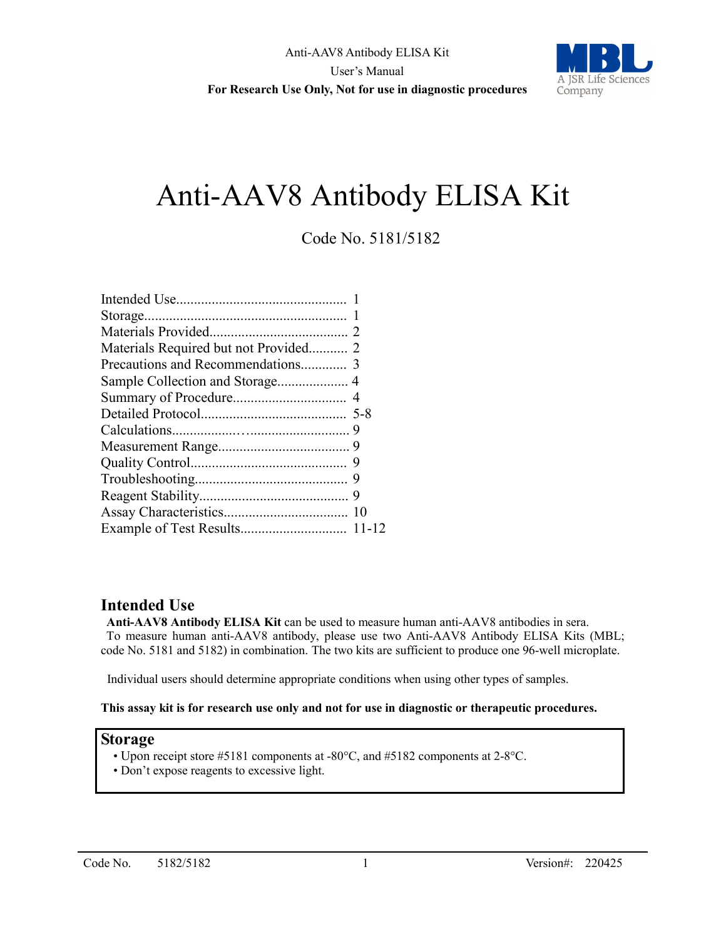

# Anti-AAV8 Antibody ELISA Kit

# Code No. 5181/5182

| Materials Required but not Provided 2 |  |
|---------------------------------------|--|
|                                       |  |
|                                       |  |
|                                       |  |
|                                       |  |
|                                       |  |
|                                       |  |
|                                       |  |
|                                       |  |
|                                       |  |
|                                       |  |
|                                       |  |

# **Intended Use**

**Anti-AAV8 Antibody ELISA Kit** can be used to measure human anti-AAV8 antibodies in sera. To measure human anti-AAV8 antibody, please use two Anti-AAV8 Antibody ELISA Kits (MBL; code No. 5181 and 5182) in combination. The two kits are sufficient to produce one 96-well microplate.

Individual users should determine appropriate conditions when using other types of samples.

#### **This assay kit is for research use only and not for use in diagnostic or therapeutic procedures.**

#### **Storage**

- Upon receipt store #5181 components at -80°C, and #5182 components at 2-8°C.
- Don't expose reagents to excessive light.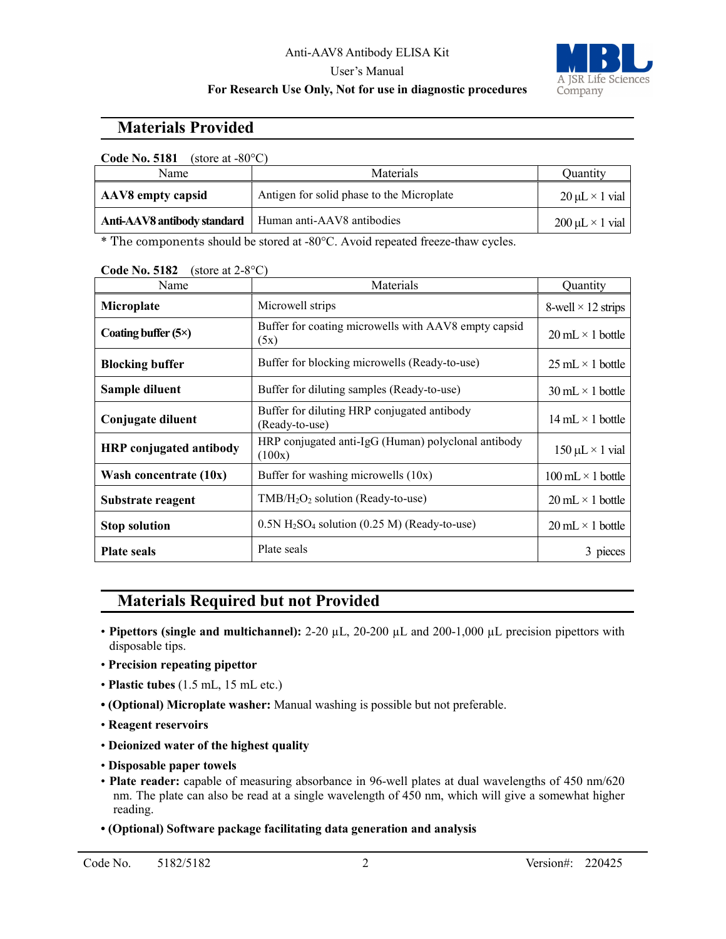#### Anti-AAV8 Antibody ELISA Kit User's Manual



# **For Research Use Only, Not for use in diagnostic procedures**

# **Materials Provided**

| <b>Code No. 5181</b><br>(store at $-80^{\circ}$ C) |                                           |                           |
|----------------------------------------------------|-------------------------------------------|---------------------------|
| Name                                               | <b>Materials</b>                          | Ouantity                  |
| AAV8 empty capsid                                  | Antigen for solid phase to the Microplate | $20 \mu L \times 1$ vial  |
| Anti-AAV8 antibody standard                        | Human anti-AAV8 antibodies                | $200 \mu L \times 1$ vial |
|                                                    |                                           |                           |

\* The components should be stored at -80°C. Avoid repeated freeze-thaw cycles.

| Name                           | Materials                                                              | Quantity                                 |
|--------------------------------|------------------------------------------------------------------------|------------------------------------------|
| Microplate                     | Microwell strips                                                       | 8-well $\times$ 12 strips                |
| Coating buffer $(5\times)$     | Buffer for coating microwells with AAV8 empty capsid<br>(5x)           | $20 \text{ mL} \times 1 \text{ bottle}$  |
| <b>Blocking buffer</b>         | Buffer for blocking microwells (Ready-to-use)                          | $25 \text{ mL} \times 1 \text{ bottle}$  |
| Sample diluent                 | Buffer for diluting samples (Ready-to-use)                             | $30 \text{ mL} \times 1 \text{ bottle}$  |
| Conjugate diluent              | Buffer for diluting HRP conjugated antibody<br>(Ready-to-use)          | $14 \text{ mL} \times 1 \text{ bottle}$  |
| <b>HRP</b> conjugated antibody | HRP conjugated anti-IgG (Human) polyclonal antibody<br>(100x)          | $150 \mu L \times 1$ vial                |
| Wash concentrate $(10x)$       | Buffer for washing microwells $(10x)$                                  | $100 \text{ mL} \times 1 \text{ bottle}$ |
| Substrate reagent              | $TMB/H2O2$ solution (Ready-to-use)                                     | $20 \text{ mL} \times 1 \text{ bottle}$  |
| <b>Stop solution</b>           | $0.5N$ H <sub>2</sub> SO <sub>4</sub> solution (0.25 M) (Ready-to-use) | $20 \text{ mL} \times 1 \text{ bottle}$  |
| <b>Plate seals</b>             | Plate seals                                                            | 3 pieces                                 |

**Code No. 5182** (store at 2-8°C)

# **Materials Required but not Provided**

- **Pipettors (single and multichannel):** 2-20 µL, 20-200 µL and 200-1,000 µL precision pipettors with disposable tips.
- **Precision repeating pipettor**
- **Plastic tubes** (1.5 mL, 15 mL etc.)
- **(Optional) Microplate washer:** Manual washing is possible but not preferable.
- **Reagent reservoirs**
- **Deionized water of the highest quality**
- **Disposable paper towels**
- **Plate reader:** capable of measuring absorbance in 96-well plates at dual wavelengths of 450 nm/620 nm. The plate can also be read at a single wavelength of 450 nm, which will give a somewhat higher reading.
- **(Optional) Software package facilitating data generation and analysis**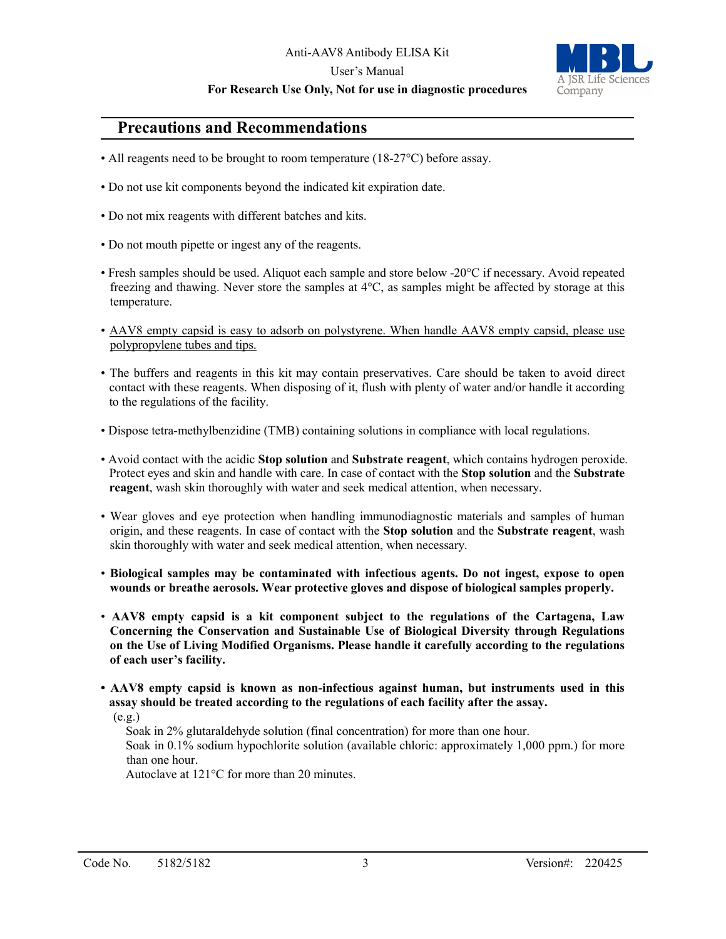#### Anti-AAV8 Antibody ELISA Kit

#### User's Manual

#### **For Research Use Only, Not for use in diagnostic procedures**



# **Precautions and Recommendations**

- All reagents need to be brought to room temperature (18-27 °C) before assay.
- Do not use kit components beyond the indicated kit expiration date.
- Do not mix reagents with different batches and kits.
- Do not mouth pipette or ingest any of the reagents.
- Fresh samples should be used. Aliquot each sample and store below -20°C if necessary. Avoid repeated freezing and thawing. Never store the samples at 4°C, as samples might be affected by storage at this temperature.
- AAV8 empty capsid is easy to adsorb on polystyrene. When handle AAV8 empty capsid, please use polypropylene tubes and tips.
- The buffers and reagents in this kit may contain preservatives. Care should be taken to avoid direct contact with these reagents. When disposing of it, flush with plenty of water and/or handle it according to the regulations of the facility.
- Dispose tetra-methylbenzidine (TMB) containing solutions in compliance with local regulations.
- Avoid contact with the acidic **Stop solution** and **Substrate reagent**, which contains hydrogen peroxide. Protect eyes and skin and handle with care. In case of contact with the **Stop solution** and the **Substrate reagent**, wash skin thoroughly with water and seek medical attention, when necessary.
- Wear gloves and eye protection when handling immunodiagnostic materials and samples of human origin, and these reagents. In case of contact with the **Stop solution** and the **Substrate reagent**, wash skin thoroughly with water and seek medical attention, when necessary.
- **Biological samples may be contaminated with infectious agents. Do not ingest, expose to open wounds or breathe aerosols. Wear protective gloves and dispose of biological samples properly.**
- **AAV8 empty capsid is a kit component subject to the regulations of the Cartagena, Law Concerning the Conservation and Sustainable Use of Biological Diversity through Regulations on the Use of Living Modified Organisms. Please handle it carefully according to the regulations of each user's facility.**
- **AAV8 empty capsid is known as non-infectious against human, but instruments used in this assay should be treated according to the regulations of each facility after the assay.**

 $(e.g.)$ 

Soak in 2% glutaraldehyde solution (final concentration) for more than one hour.

 Soak in 0.1% sodium hypochlorite solution (available chloric: approximately 1,000 ppm.) for more than one hour.

Autoclave at 121°C for more than 20 minutes.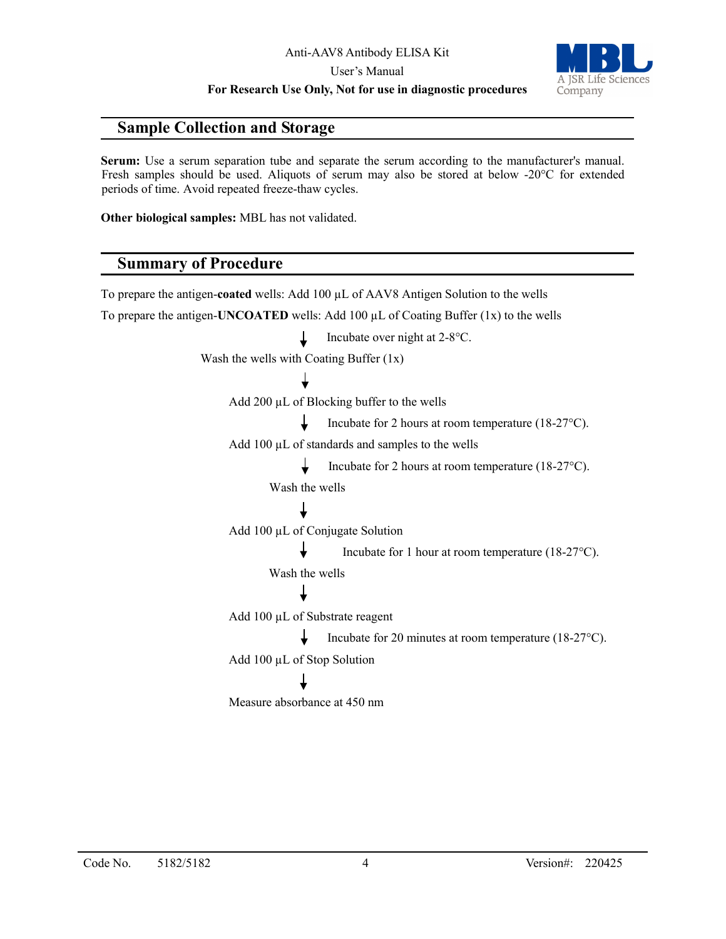**For Research Use Only, Not for use in diagnostic procedures**

# **Sample Collection and Storage**

**Serum:** Use a serum separation tube and separate the serum according to the manufacturer's manual. Fresh samples should be used. Aliquots of serum may also be stored at below -20°C for extended periods of time. Avoid repeated freeze-thaw cycles.

**Other biological samples:** MBL has not validated.

# **Summary of Procedure**

To prepare the antigen-**coated** wells: Add 100 µL of AAV8 Antigen Solution to the wells To prepare the antigen-**UNCOATED** wells: Add 100  $\mu$ L of Coating Buffer (1x) to the wells Incubate over night at 2-8°C. T Wash the wells with Coating Buffer (1x) Add 200 µL of Blocking buffer to the wells Incubate for 2 hours at room temperature (18-27°C). Add 100 µL of standards and samples to the wells T. Incubate for 2 hours at room temperature (18-27°C). Wash the wells Add 100 µL of Conjugate Solution Incubate for 1 hour at room temperature (18-27°C). Wash the wells Add 100 µL of Substrate reagent Incubate for 20 minutes at room temperature (18-27°C). Add 100 µL of Stop Solution Measure absorbance at 450 nm

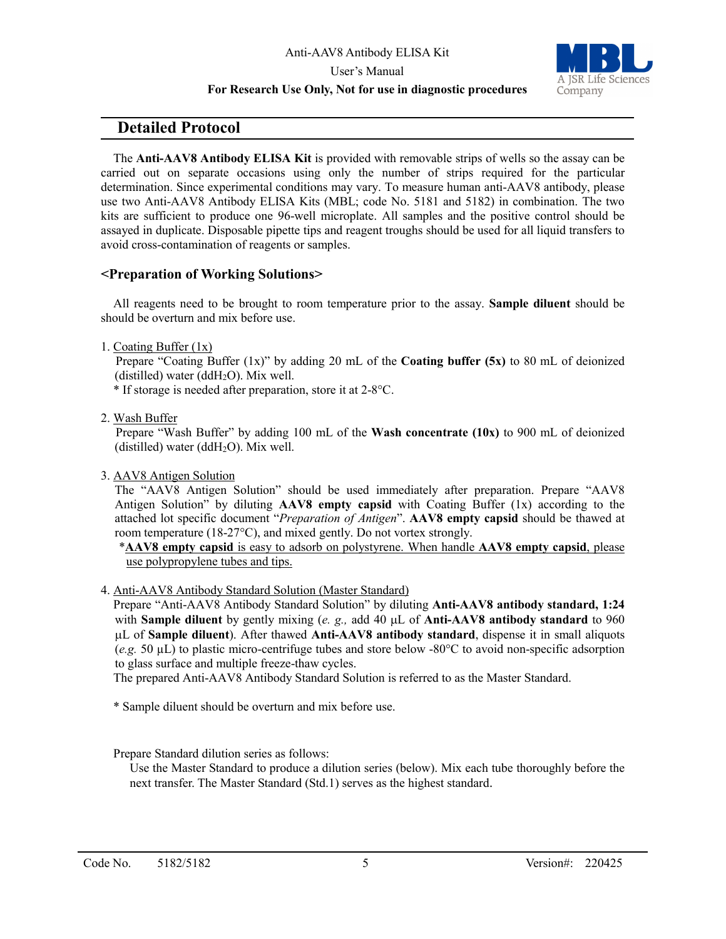

#### **For Research Use Only, Not for use in diagnostic procedures**

# **Detailed Protocol**

The **Anti-AAV8 Antibody ELISA Kit** is provided with removable strips of wells so the assay can be carried out on separate occasions using only the number of strips required for the particular determination. Since experimental conditions may vary. To measure human anti-AAV8 antibody, please use two Anti-AAV8 Antibody ELISA Kits (MBL; code No. 5181 and 5182) in combination. The two kits are sufficient to produce one 96-well microplate. All samples and the positive control should be assayed in duplicate. Disposable pipette tips and reagent troughs should be used for all liquid transfers to avoid cross-contamination of reagents or samples.

#### **<Preparation of Working Solutions>**

All reagents need to be brought to room temperature prior to the assay. **Sample diluent** should be should be overturn and mix before use.

1. Coating Buffer (1x)

Prepare "Coating Buffer (1x)" by adding 20 mL of the **Coating buffer (5x)** to 80 mL of deionized (distilled) water (dd $H_2O$ ). Mix well.

\* If storage is needed after preparation, store it at 2-8°C.

2. Wash Buffer

Prepare "Wash Buffer" by adding 100 mL of the **Wash concentrate (10x)** to 900 mL of deionized (distilled) water (dd $H_2O$ ). Mix well.

3. AAV8 Antigen Solution

The "AAV8 Antigen Solution" should be used immediately after preparation. Prepare "AAV8 Antigen Solution" by diluting **AAV8 empty capsid** with Coating Buffer (1x) according to the attached lot specific document "*Preparation of Antigen*". **AAV8 empty capsid** should be thawed at room temperature (18-27°C), and mixed gently. Do not vortex strongly.

\***AAV8 empty capsid** is easy to adsorb on polystyrene. When handle **AAV8 empty capsid**, please use polypropylene tubes and tips.

4. Anti-AAV8 Antibody Standard Solution (Master Standard)

Prepare "Anti-AAV8 Antibody Standard Solution" by diluting **Anti-AAV8 antibody standard, 1:24** with **Sample diluent** by gently mixing (*e. g.,* add 40 µL of **Anti-AAV8 antibody standard** to 960 µL of **Sample diluent**). After thawed **Anti-AAV8 antibody standard**, dispense it in small aliquots (*e.g.* 50 µL) to plastic micro-centrifuge tubes and store below -80°C to avoid non-specific adsorption to glass surface and multiple freeze-thaw cycles.

The prepared Anti-AAV8 Antibody Standard Solution is referred to as the Master Standard.

- \* Sample diluent should be overturn and mix before use.
- Prepare Standard dilution series as follows:

Use the Master Standard to produce a dilution series (below). Mix each tube thoroughly before the next transfer. The Master Standard (Std.1) serves as the highest standard.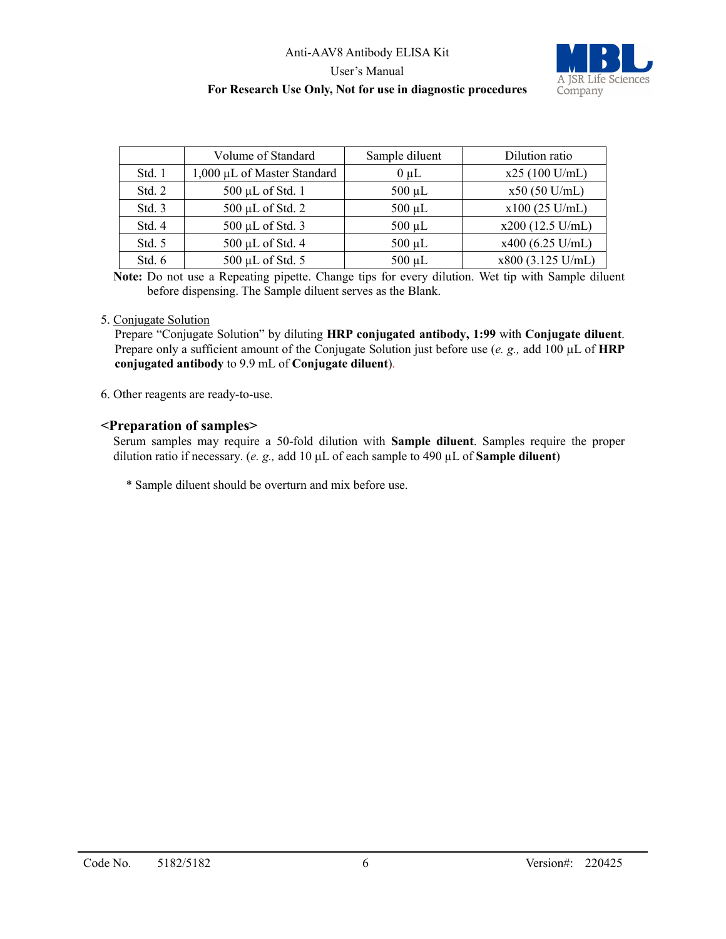### Anti-AAV8 Antibody ELISA Kit User's Manual **For Research Use Only, Not for use in diagnostic procedures**



|        | Volume of Standard          | Sample diluent | Dilution ratio     |
|--------|-----------------------------|----------------|--------------------|
| Std. 1 | 1,000 µL of Master Standard | $0 \mu L$      | $x25(100$ U/mL)    |
| Std. 2 | 500 µL of Std. 1            | $500 \mu L$    | $x50(50$ U/mL)     |
| Std. 3 | $500 \mu L$ of Std. 2       | $500 \mu L$    | $x100(25$ U/mL)    |
| Std. 4 | 500 µL of Std. 3            | $500 \mu L$    | $x200$ (12.5 U/mL) |
| Std. 5 | 500 µL of Std. 4            | $500 \mu L$    | $x400$ (6.25 U/mL) |
| Std. 6 | 500 µL of Std. 5            | $500 \mu L$    | x800 (3.125 U/mL)  |

**Note:** Do not use a Repeating pipette. Change tips for every dilution. Wet tip with Sample diluent before dispensing. The Sample diluent serves as the Blank.

#### 5. Conjugate Solution

Prepare "Conjugate Solution" by diluting **HRP conjugated antibody, 1:99** with **Conjugate diluent**. Prepare only a sufficient amount of the Conjugate Solution just before use (*e. g.,* add 100 µL of **HRP conjugated antibody** to 9.9 mL of **Conjugate diluent**).

6. Other reagents are ready-to-use.

#### **<Preparation of samples>**

Serum samples may require a 50-fold dilution with **Sample diluent**. Samples require the proper dilution ratio if necessary. (*e. g.,* add 10 µL of each sample to 490 µL of **Sample diluent**)

\* Sample diluent should be overturn and mix before use.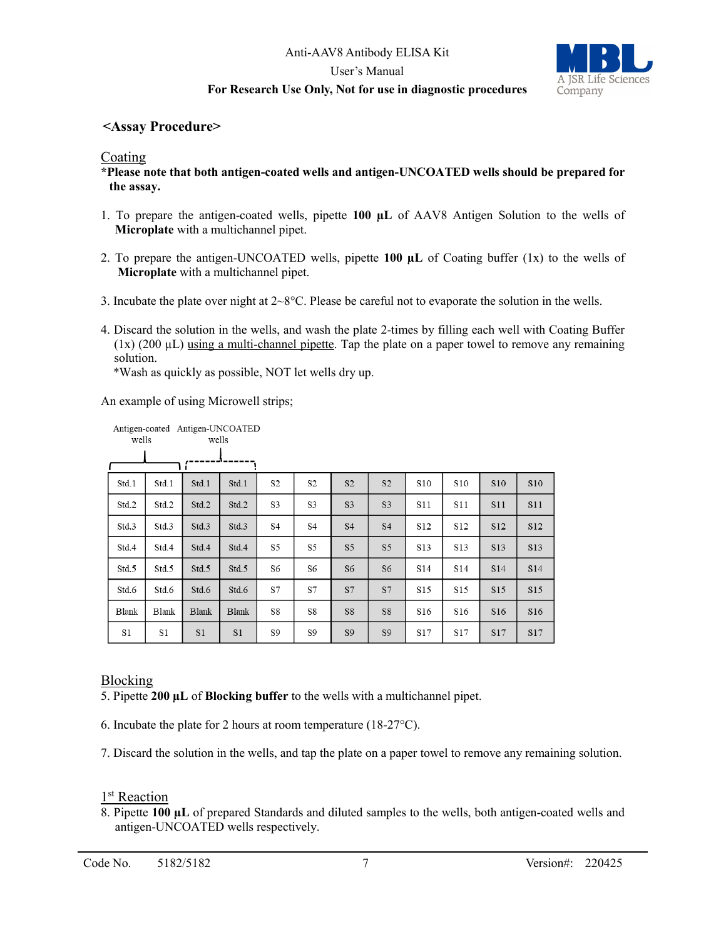### Anti-AAV8 Antibody ELISA Kit User's Manual



#### **For Research Use Only, Not for use in diagnostic procedures**

### **<Assay Procedure>**

#### Coating

**\*Please note that both antigen-coated wells and antigen-UNCOATED wells should be prepared for the assay.**

- 1. To prepare the antigen-coated wells, pipette **100 µL** of AAV8 Antigen Solution to the wells of **Microplate** with a multichannel pipet.
- 2. To prepare the antigen-UNCOATED wells, pipette **100 µL** of Coating buffer (1x) to the wells of **Microplate** with a multichannel pipet.
- 3. Incubate the plate over night at  $2 \times 8^{\circ}$ C. Please be careful not to evaporate the solution in the wells.
- 4. Discard the solution in the wells, and wash the plate 2-times by filling each well with Coating Buffer  $(1x)$  (200  $\mu$ L) using a multi-channel pipette. Tap the plate on a paper towel to remove any remaining solution.

\*Wash as quickly as possible, NOT let wells dry up.

An example of using Microwell strips;

| wells        | Antigen-coated Antigen-UNCOATED | wells          |                |                |                |                |                |                 |                 |                 |            |
|--------------|---------------------------------|----------------|----------------|----------------|----------------|----------------|----------------|-----------------|-----------------|-----------------|------------|
|              |                                 |                |                |                |                |                |                |                 |                 |                 |            |
| Std.1        | Std.1                           | Std.1          | Std.1          | S2             | S <sub>2</sub> | S <sub>2</sub> | S <sub>2</sub> | S10             | S10             | S10             | <b>S10</b> |
| Std.2        | Std.2                           | Std.2          | Std.2          | S3             | S3             | S <sub>3</sub> | S <sub>3</sub> | S11             | S11             | <b>S11</b>      | S11        |
| Std.3        | Std.3                           | Std.3          | Std.3          | S <sub>4</sub> | <b>S4</b>      | <b>S4</b>      | <b>S4</b>      | S <sub>12</sub> | S12             | S12             | S12        |
| Std.4        | Std.4                           | Std.4          | Std.4          | S5             | S5             | S <sub>5</sub> | S <sub>5</sub> | S <sub>13</sub> | S13             | S13             | S13        |
| Std.5        | Std.5                           | Std.5          | Std.5          | S6             | S6             | S <sub>6</sub> | S6             | S <sub>14</sub> | S <sub>14</sub> | S14             | S14        |
| Std.6        | Std.6                           | Std.6          | Std.6          | S7             | S7             | S7             | S7             | S15             | S <sub>15</sub> | S <sub>15</sub> | S15        |
| <b>Blank</b> | <b>Blank</b>                    | <b>Blank</b>   | <b>Blank</b>   | S8             | S8             | S8             | S8             | S <sub>16</sub> | S16             | S16             | S16        |
| S1           | S1                              | S <sub>1</sub> | S <sub>1</sub> | S9             | S9             | S <sub>9</sub> | S <sub>9</sub> | S17             | S17             | S17             | S17        |

### Blocking

5. Pipette **200 µL** of **Blocking buffer** to the wells with a multichannel pipet.

6. Incubate the plate for 2 hours at room temperature (18-27°C).

7. Discard the solution in the wells, and tap the plate on a paper towel to remove any remaining solution.

#### 1<sup>st</sup> Reaction

8. Pipette **100 µL** of prepared Standards and diluted samples to the wells, both antigen-coated wells and antigen-UNCOATED wells respectively.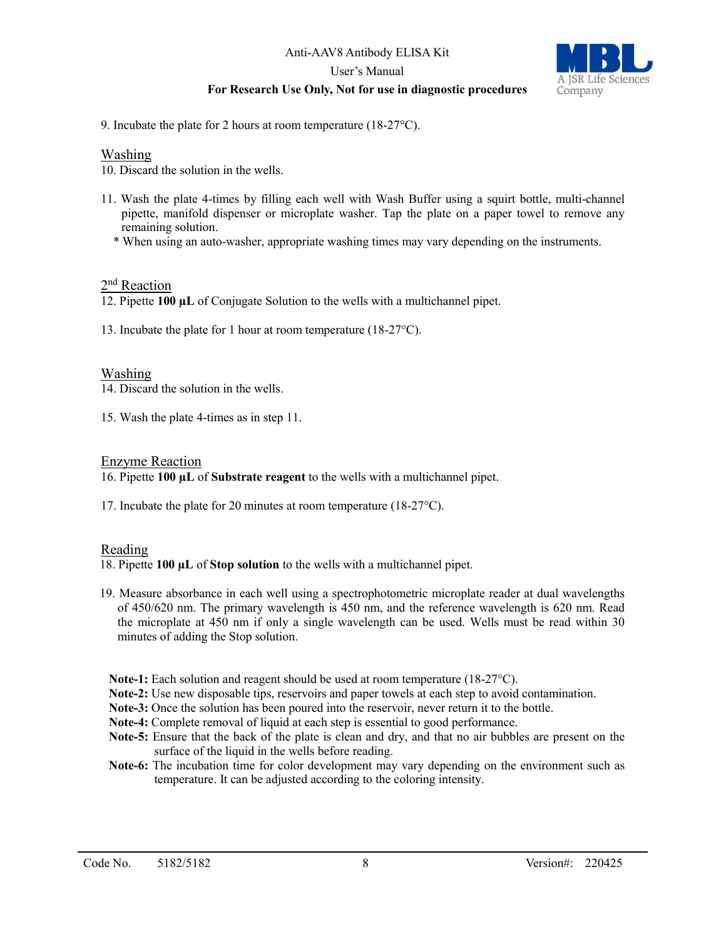# Anti-AAV8 Antibody ELISA Kit

User's Manual

### **For Research Use Only, Not for use in diagnostic procedures**



9. Incubate the plate for 2 hours at room temperature (18-27°C).

#### Washing

10. Discard the solution in the wells.

- 11. Wash the plate 4-times by filling each well with Wash Buffer using a squirt bottle, multi-channel pipette, manifold dispenser or microplate washer. Tap the plate on a paper towel to remove any remaining solution.
	- \* When using an auto-washer, appropriate washing times may vary depending on the instruments.

#### 2<sup>nd</sup> Reaction

12. Pipette **100 µL** of Conjugate Solution to the wells with a multichannel pipet.

13. Incubate the plate for 1 hour at room temperature (18-27°C).

#### Washing

14. Discard the solution in the wells.

15. Wash the plate 4-times as in step 11.

#### Enzyme Reaction

16. Pipette **100 µL** of **Substrate reagent** to the wells with a multichannel pipet.

17. Incubate the plate for 20 minutes at room temperature (18-27°C).

#### Reading

18. Pipette **100 µL** of **Stop solution** to the wells with a multichannel pipet.

- 19. Measure absorbance in each well using a spectrophotometric microplate reader at dual wavelengths of 450/620 nm. The primary wavelength is 450 nm, and the reference wavelength is 620 nm. Read the microplate at 450 nm if only a single wavelength can be used. Wells must be read within 30 minutes of adding the Stop solution.
	- **Note-1:** Each solution and reagent should be used at room temperature (18-27°C).
	- **Note-2:** Use new disposable tips, reservoirs and paper towels at each step to avoid contamination.
- **Note-3:** Once the solution has been poured into the reservoir, never return it to the bottle.
- **Note-4:** Complete removal of liquid at each step is essential to good performance.
- **Note-5:** Ensure that the back of the plate is clean and dry, and that no air bubbles are present on the surface of the liquid in the wells before reading.
- **Note-6:** The incubation time for color development may vary depending on the environment such as temperature. It can be adjusted according to the coloring intensity.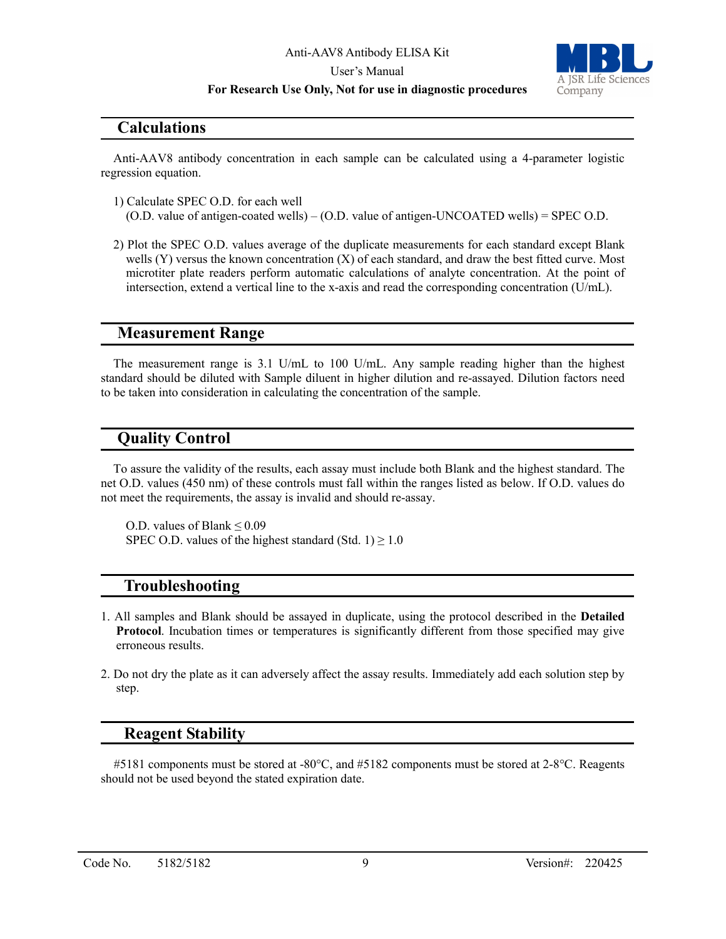#### **For Research Use Only, Not for use in diagnostic procedures**



#### **Calculations**

Anti-AAV8 antibody concentration in each sample can be calculated using a 4-parameter logistic regression equation.

- 1) Calculate SPEC O.D. for each well (O.D. value of antigen-coated wells) – (O.D. value of antigen-UNCOATED wells) = SPEC O.D.
- 2) Plot the SPEC O.D. values average of the duplicate measurements for each standard except Blank wells (Y) versus the known concentration (X) of each standard, and draw the best fitted curve. Most microtiter plate readers perform automatic calculations of analyte concentration. At the point of intersection, extend a vertical line to the x-axis and read the corresponding concentration (U/mL).

#### **Measurement Range**

The measurement range is 3.1 U/mL to 100 U/mL. Any sample reading higher than the highest standard should be diluted with Sample diluent in higher dilution and re-assayed. Dilution factors need to be taken into consideration in calculating the concentration of the sample.

# **Quality Control**

To assure the validity of the results, each assay must include both Blank and the highest standard. The net O.D. values (450 nm) of these controls must fall within the ranges listed as below. If O.D. values do not meet the requirements, the assay is invalid and should re-assay.

O.D. values of Blank ≤ 0.09 SPEC O.D. values of the highest standard (Std. 1)  $\geq$  1.0

# **Troubleshooting**

- 1. All samples and Blank should be assayed in duplicate, using the protocol described in the **Detailed Protocol**. Incubation times or temperatures is significantly different from those specified may give erroneous results.
- 2. Do not dry the plate as it can adversely affect the assay results. Immediately add each solution step by step.

### **Reagent Stability**

#5181 components must be stored at -80°C, and #5182 components must be stored at 2-8°C. Reagents should not be used beyond the stated expiration date.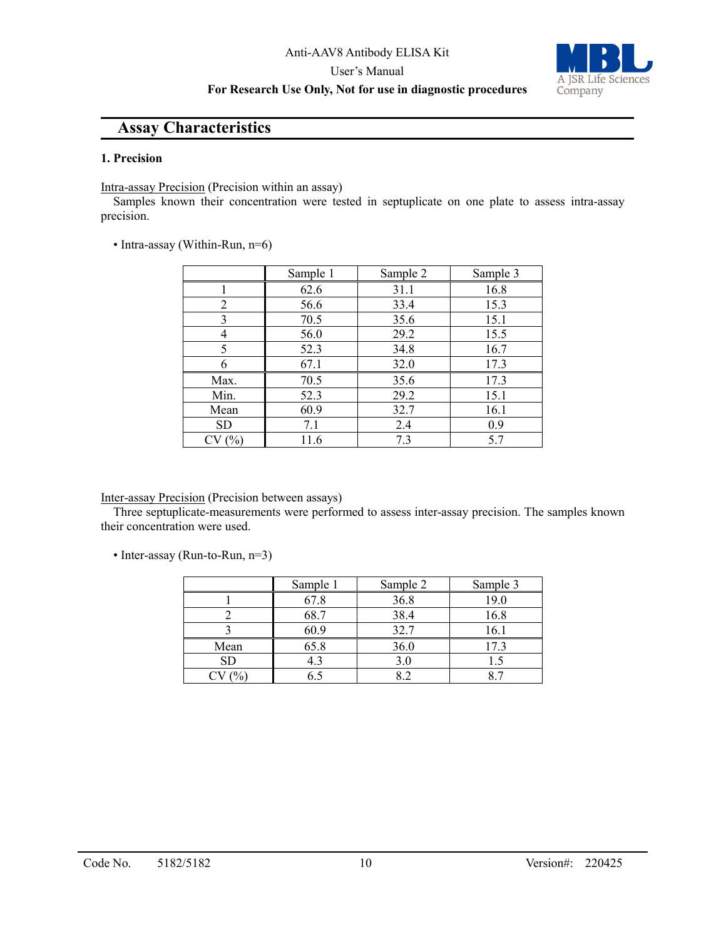#### **For Research Use Only, Not for use in diagnostic procedures**



# **Assay Characteristics**

#### **1. Precision**

Intra-assay Precision (Precision within an assay)

Samples known their concentration were tested in septuplicate on one plate to assess intra-assay precision.

• Intra-assay (Within-Run, n=6)

|       | Sample 1 | Sample 2 | Sample 3 |
|-------|----------|----------|----------|
|       | 62.6     | 31.1     | 16.8     |
| 2     | 56.6     | 33.4     | 15.3     |
| 3     | 70.5     | 35.6     | 15.1     |
| 4     | 56.0     | 29.2     | 15.5     |
| 5     | 52.3     | 34.8     | 16.7     |
|       | 67.1     | 32.0     | 17.3     |
| Max.  | 70.5     | 35.6     | 17.3     |
| Min.  | 52.3     | 29.2     | 15.1     |
| Mean  | 60.9     | 32.7     | 16.1     |
| SD    | 7.1      | 2.4      | 0.9      |
| CV(%) | 11.6     | 7.3      | 5.7      |

#### Inter-assay Precision (Precision between assays)

Three septuplicate-measurements were performed to assess inter-assay precision. The samples known their concentration were used.

• Inter-assay (Run-to-Run, n=3)

|      | Sample 1 | Sample 2 | Sample 3 |
|------|----------|----------|----------|
|      | 67.8     | 36.8     | 19.0     |
|      | 68.7     | 38.4     | 16.8     |
|      | 60.9     | 32.7     | 16.1     |
| Mean | 65.8     | 36.0     | 17.3     |
| SD   |          |          |          |
|      |          |          |          |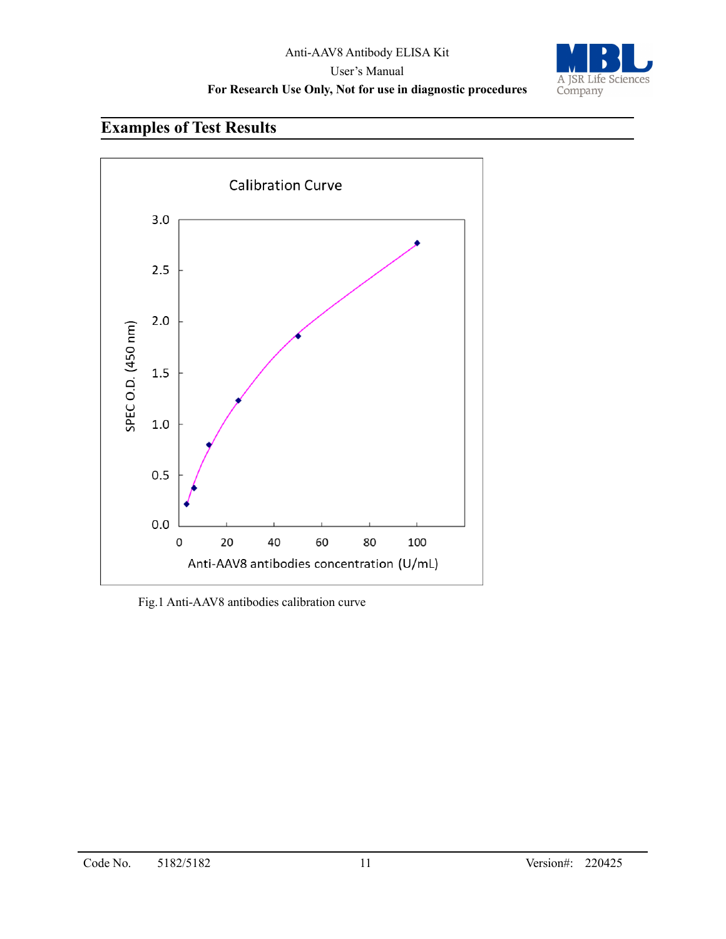

# **Examples of Test Results**



Fig.1 Anti-AAV8 antibodies calibration curve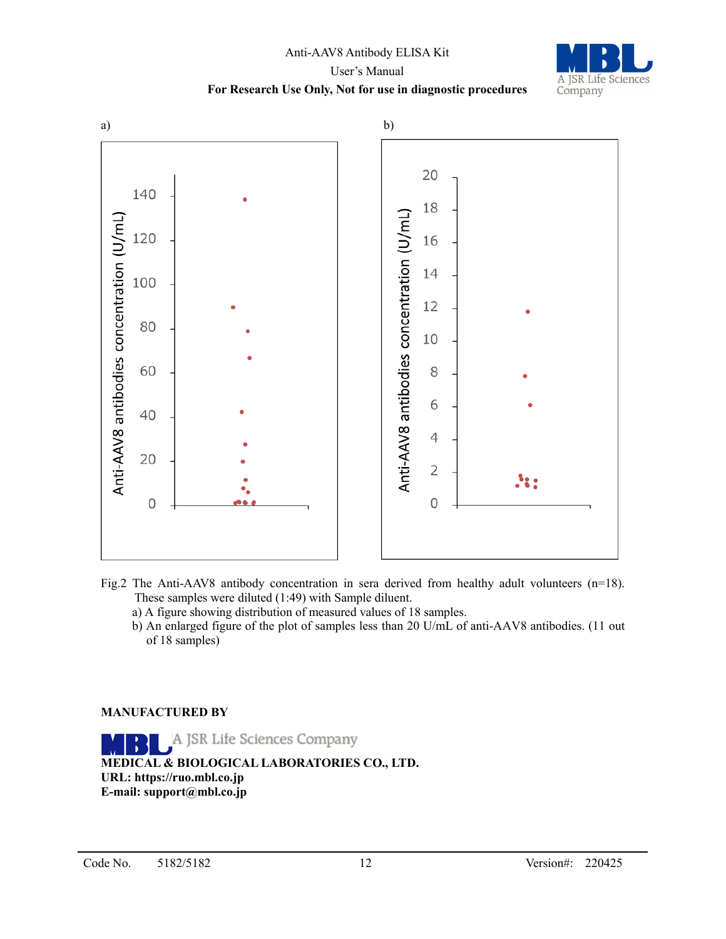# Anti-AAV8 Antibody ELISA Kit User's Manual **For Research Use Only, Not for use in diagnostic procedures**



#### Fig.2 The Anti-AAV8 antibody concentration in sera derived from healthy adult volunteers (n=18). These samples were diluted (1:49) with Sample diluent.

- a) A figure showing distribution of measured values of 18 samples.
- b) An enlarged figure of the plot of samples less than 20 U/mL of anti-AAV8 antibodies. (11 out of 18 samples)

#### **MANUFACTURED BY**

A JSR Life Sciences Company **MEDICAL & BIOLOGICAL LABORATORIES CO., LTD. URL: https://ruo.mbl.co.jp E-mail: support@mbl.co.jp**

A JSR Life Sciences

Company